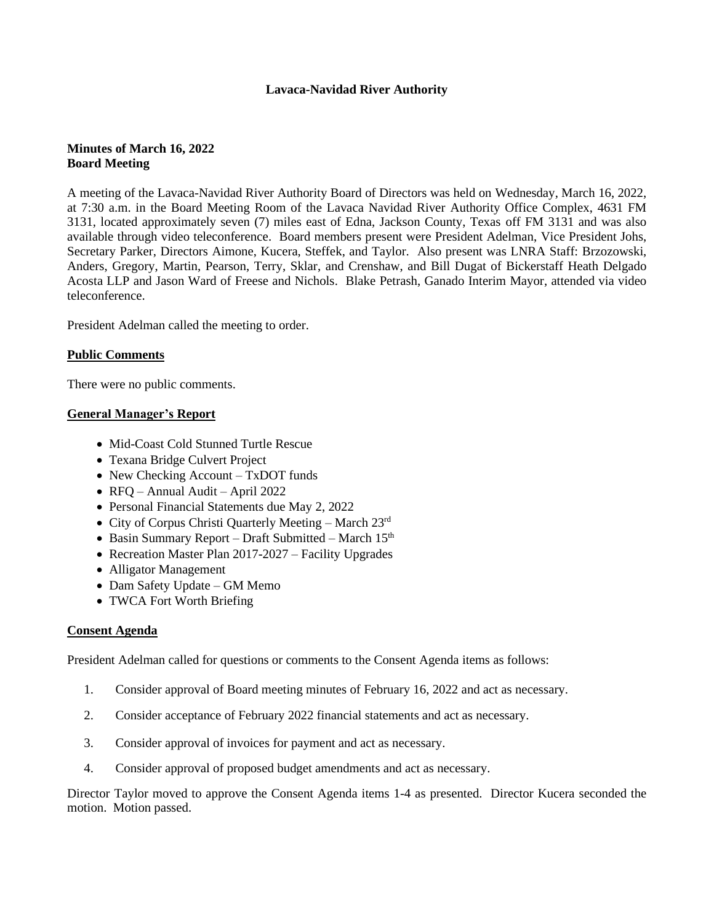# **Lavaca-Navidad River Authority**

# **Minutes of March 16, 2022 Board Meeting**

A meeting of the Lavaca-Navidad River Authority Board of Directors was held on Wednesday, March 16, 2022, at 7:30 a.m. in the Board Meeting Room of the Lavaca Navidad River Authority Office Complex, 4631 FM 3131, located approximately seven (7) miles east of Edna, Jackson County, Texas off FM 3131 and was also available through video teleconference. Board members present were President Adelman, Vice President Johs, Secretary Parker, Directors Aimone, Kucera, Steffek, and Taylor. Also present was LNRA Staff: Brzozowski, Anders, Gregory, Martin, Pearson, Terry, Sklar, and Crenshaw, and Bill Dugat of Bickerstaff Heath Delgado Acosta LLP and Jason Ward of Freese and Nichols. Blake Petrash, Ganado Interim Mayor, attended via video teleconference.

President Adelman called the meeting to order.

## **Public Comments**

There were no public comments.

### **General Manager's Report**

- Mid-Coast Cold Stunned Turtle Rescue
- Texana Bridge Culvert Project
- New Checking Account TxDOT funds
- RFQ Annual Audit April 2022
- Personal Financial Statements due May 2, 2022
- City of Corpus Christi Quarterly Meeting March 23<sup>rd</sup>
- Basin Summary Report Draft Submitted March  $15<sup>th</sup>$
- Recreation Master Plan 2017-2027 Facility Upgrades
- Alligator Management
- Dam Safety Update GM Memo
- TWCA Fort Worth Briefing

## **Consent Agenda**

President Adelman called for questions or comments to the Consent Agenda items as follows:

- 1. Consider approval of Board meeting minutes of February 16, 2022 and act as necessary.
- 2. Consider acceptance of February 2022 financial statements and act as necessary.
- 3. Consider approval of invoices for payment and act as necessary.
- 4. Consider approval of proposed budget amendments and act as necessary.

Director Taylor moved to approve the Consent Agenda items 1-4 as presented. Director Kucera seconded the motion. Motion passed.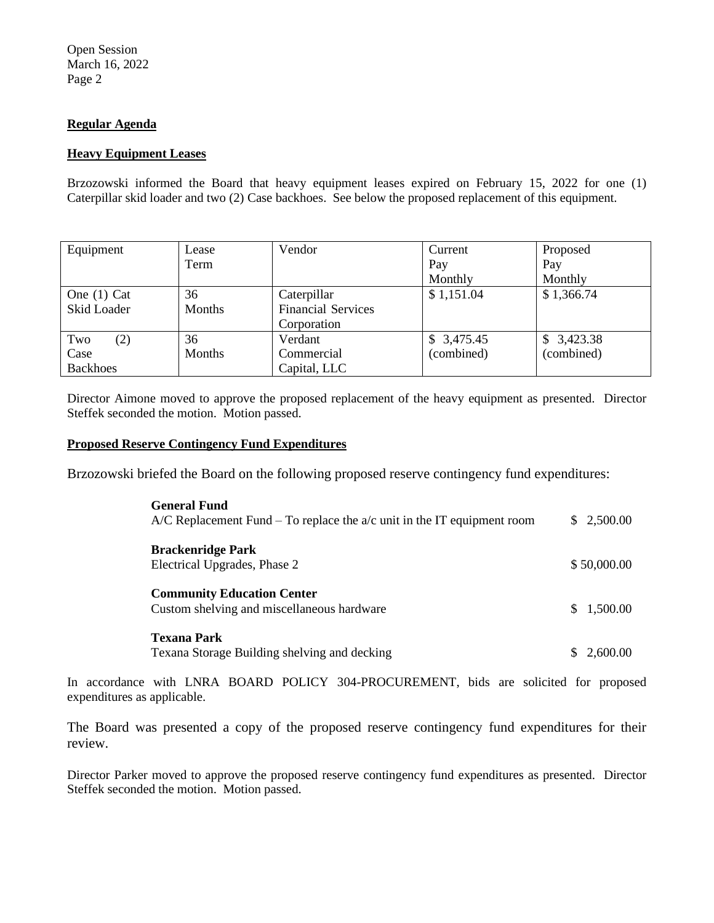# **Regular Agenda**

### **Heavy Equipment Leases**

Brzozowski informed the Board that heavy equipment leases expired on February 15, 2022 for one (1) Caterpillar skid loader and two (2) Case backhoes. See below the proposed replacement of this equipment.

| Equipment       | Lease  | Vendor                    | Current    | Proposed   |
|-----------------|--------|---------------------------|------------|------------|
|                 | Term   |                           | Pay        | Pay        |
|                 |        |                           | Monthly    | Monthly    |
| One $(1)$ Cat   | 36     | Caterpillar               | \$1,151.04 | \$1,366.74 |
| Skid Loader     | Months | <b>Financial Services</b> |            |            |
|                 |        | Corporation               |            |            |
| Two<br>(2)      | 36     | Verdant                   | \$3,475.45 | \$3,423.38 |
| Case            | Months | Commercial                | (combined) | (combined) |
| <b>Backhoes</b> |        | Capital, LLC              |            |            |

Director Aimone moved to approve the proposed replacement of the heavy equipment as presented. Director Steffek seconded the motion. Motion passed.

#### **Proposed Reserve Contingency Fund Expenditures**

Brzozowski briefed the Board on the following proposed reserve contingency fund expenditures:

| <b>General Fund</b><br>$A/C$ Replacement Fund – To replace the $a/c$ unit in the IT equipment room | \$ 2,500.00 |
|----------------------------------------------------------------------------------------------------|-------------|
| <b>Brackenridge Park</b><br>Electrical Upgrades, Phase 2                                           | \$50,000.00 |
| <b>Community Education Center</b><br>Custom shelving and miscellaneous hardware                    | \$ 1,500.00 |
| <b>Texana Park</b>                                                                                 |             |
| Texana Storage Building shelving and decking                                                       | \$2,600.00  |

In accordance with LNRA BOARD POLICY 304-PROCUREMENT, bids are solicited for proposed expenditures as applicable.

The Board was presented a copy of the proposed reserve contingency fund expenditures for their review.

Director Parker moved to approve the proposed reserve contingency fund expenditures as presented. Director Steffek seconded the motion. Motion passed.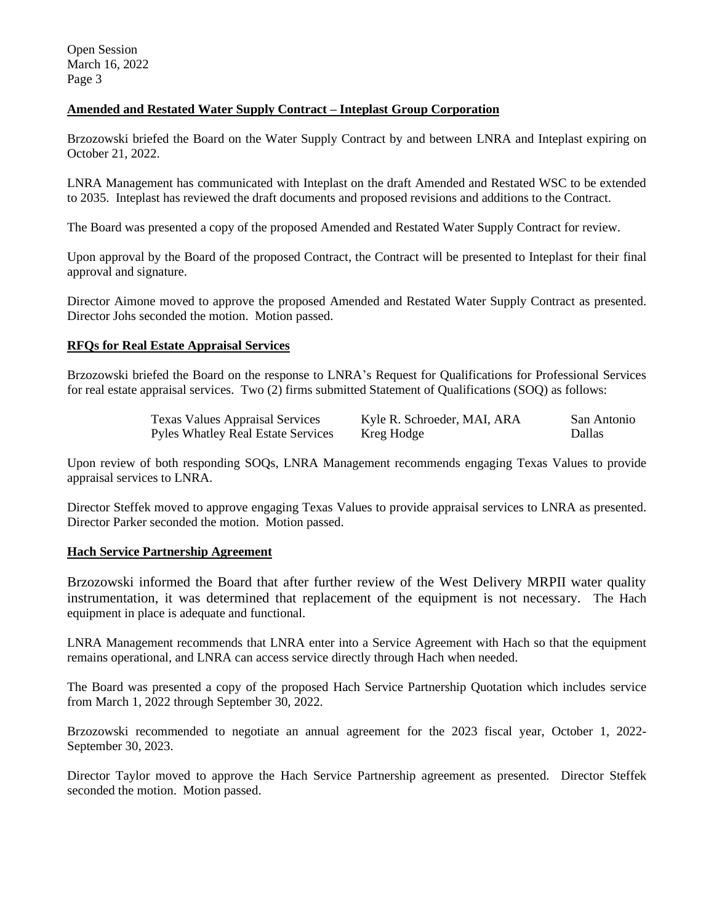# **Amended and Restated Water Supply Contract – Inteplast Group Corporation**

Brzozowski briefed the Board on the Water Supply Contract by and between LNRA and Inteplast expiring on October 21, 2022.

LNRA Management has communicated with Inteplast on the draft Amended and Restated WSC to be extended to 2035. Inteplast has reviewed the draft documents and proposed revisions and additions to the Contract.

The Board was presented a copy of the proposed Amended and Restated Water Supply Contract for review.

Upon approval by the Board of the proposed Contract, the Contract will be presented to Inteplast for their final approval and signature.

Director Aimone moved to approve the proposed Amended and Restated Water Supply Contract as presented. Director Johs seconded the motion. Motion passed.

### **RFQs for Real Estate Appraisal Services**

Brzozowski briefed the Board on the response to LNRA's Request for Qualifications for Professional Services for real estate appraisal services. Two (2) firms submitted Statement of Qualifications (SOQ) as follows:

| <b>Texas Values Appraisal Services</b> | Kyle R. Schroeder, MAI, ARA | San Antonio |
|----------------------------------------|-----------------------------|-------------|
| Pyles Whatley Real Estate Services     | Kreg Hodge                  | Dallas      |

Upon review of both responding SOQs, LNRA Management recommends engaging Texas Values to provide appraisal services to LNRA.

Director Steffek moved to approve engaging Texas Values to provide appraisal services to LNRA as presented. Director Parker seconded the motion. Motion passed.

### **Hach Service Partnership Agreement**

Brzozowski informed the Board that after further review of the West Delivery MRPII water quality instrumentation, it was determined that replacement of the equipment is not necessary. The Hach equipment in place is adequate and functional.

LNRA Management recommends that LNRA enter into a Service Agreement with Hach so that the equipment remains operational, and LNRA can access service directly through Hach when needed.

The Board was presented a copy of the proposed Hach Service Partnership Quotation which includes service from March 1, 2022 through September 30, 2022.

Brzozowski recommended to negotiate an annual agreement for the 2023 fiscal year, October 1, 2022- September 30, 2023.

Director Taylor moved to approve the Hach Service Partnership agreement as presented. Director Steffek seconded the motion. Motion passed.